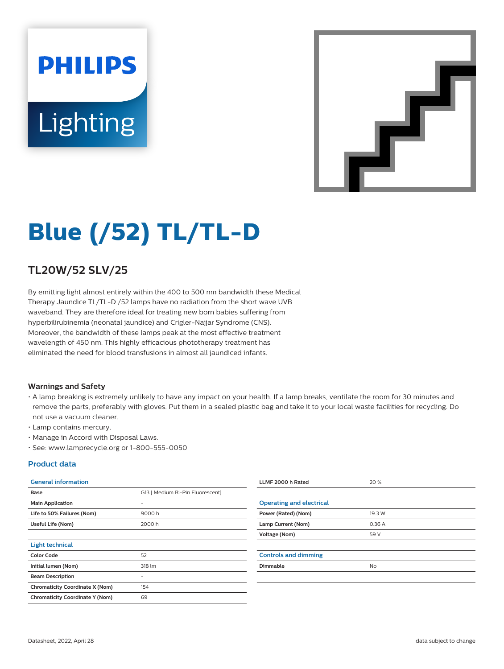# **PHILIPS Lighting**



## **Blue (/52) TL/TL-D**

## **TL20W/52 SLV/25**

By emitting light almost entirely within the 400 to 500 nm bandwidth these Medical Therapy Jaundice TL/TL-D /52 lamps have no radiation from the short wave UVB waveband. They are therefore ideal for treating new born babies suffering from hyperbilirubinemia (neonatal jaundice) and Crigler-Najjar Syndrome (CNS). Moreover, the bandwidth of these lamps peak at the most effective treatment wavelength of 450 nm. This highly efficacious phototherapy treatment has eliminated the need for blood transfusions in almost all jaundiced infants.

#### **Warnings and Safety**

- A lamp breaking is extremely unlikely to have any impact on your health. If a lamp breaks, ventilate the room for 30 minutes and remove the parts, preferably with gloves. Put them in a sealed plastic bag and take it to your local waste facilities for recycling. Do not use a vacuum cleaner.
- Lamp contains mercury.
- Manage in Accord with Disposal Laws.
- See: www.lamprecycle.org or 1-800-555-0050

#### **Product data**

| <b>General information</b>             |                                  | LLMF 2000 h Rated               | 20 %      |
|----------------------------------------|----------------------------------|---------------------------------|-----------|
| Base                                   | G13   Medium Bi-Pin Fluorescent] |                                 |           |
| <b>Main Application</b>                | $\overline{\phantom{a}}$         | <b>Operating and electrical</b> |           |
| Life to 50% Failures (Nom)             | 9000h                            | Power (Rated) (Nom)             | 19.3 W    |
| Useful Life (Nom)                      | 2000 h                           | Lamp Current (Nom)              | 0.36A     |
|                                        |                                  | Voltage (Nom)                   | 59 V      |
| <b>Light technical</b>                 |                                  |                                 |           |
| <b>Color Code</b>                      | 52                               | <b>Controls and dimming</b>     |           |
| Initial lumen (Nom)                    | 318 lm                           | Dimmable                        | <b>No</b> |
| <b>Beam Description</b>                | $\overline{\phantom{m}}$         |                                 |           |
| <b>Chromaticity Coordinate X (Nom)</b> | 154                              |                                 |           |
| <b>Chromaticity Coordinate Y (Nom)</b> | 69                               |                                 |           |
|                                        |                                  |                                 |           |